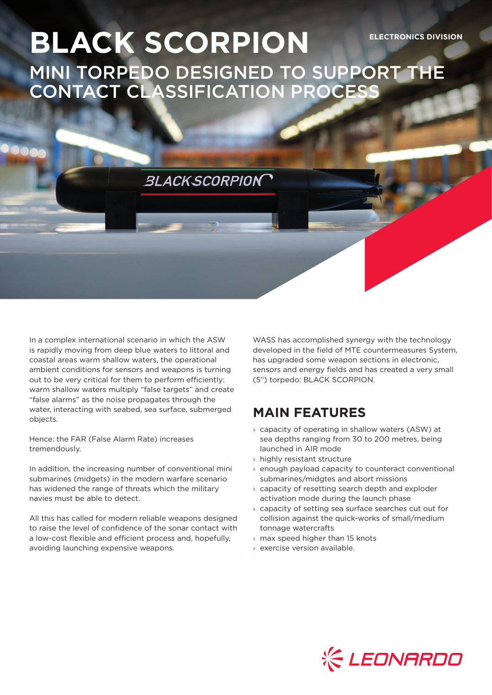## **BLACK SCORPION ELECTRONICS DIVISION** MINI TORPEDO DESIGNED TO SUPPORT THE CONTACT CLASSIFICATION PROCESS

**BLACKSCORPION** 

In a complex international scenario in which the ASW is rapidly moving from deep blue waters to littoral and coastal areas warm shallow waters, the operational ambient conditions for sensors and weapons is turning out to be very critical for them to perform efficiently: warm shallow waters multiply "false targets" and create "false alarms" as the noise propagates through the water, interacting with seabed, sea surface, submerged objects.

Hence: the FAR (False Alarm Rate) increases tremendously.

In addition, the increasing number of conventional mini submarines (midgets) in the modern warfare scenario has widened the range of threats which the military navies must be able to detect.

All this has called for modern reliable weapons designed to raise the level of confidence of the sonar contact with a low-cost flexible and efficient process and, hopefully, avoiding launching expensive weapons.

WASS has accomplished synergy with the technology developed in the field of MTE countermeasures System, has upgraded some weapon sections in electronic, sensors and energy fields and has created a very small (5") torpedo: BLACK SCORPION.

## **MAIN FEATURES**

- $\rightarrow$  capacity of operating in shallow waters (ASW) at sea depths ranging from 30 to 200 metres, being launched in AIR mode
- › highly resistant structure
- $\rightarrow$  enough payload capacity to counteract conventional submarines/midgtes and abort missions
- › capacity of resetting search depth and exploder activation mode during the launch phase
- › capacity of setting sea surface searches cut out for collision against the quick-works of small/medium tonnage watercrafts
- › max speed higher than 15 knots
- › exercise version available.